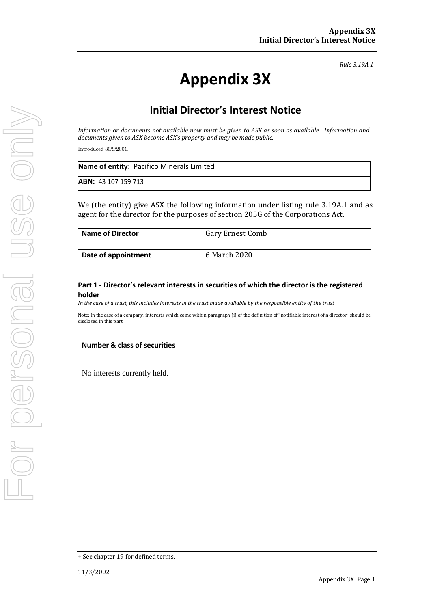*Rule 3.19A.1*

# **Appendix 3X**

## **Initial Director's Interest Notice**

*Information or documents not available now must be given to ASX as soon as available. Information and documents given to ASX become ASX's property and may be made public.*

Introduced 30/9/2001.

| Name of entity: Pacifico Minerals Limited |  |
|-------------------------------------------|--|
| <b>ABN:</b> 43 107 159 713                |  |

We (the entity) give ASX the following information under listing rule 3.19A.1 and as agent for the director for the purposes of section 205G of the Corporations Act.

| <b>Name of Director</b> | <b>Gary Ernest Comb</b> |
|-------------------------|-------------------------|
| Date of appointment     | 6 March 2020            |

#### **Part 1 - Director's relevant interests in securities of which the director is the registered holder**

*In the case of a trust, this includes interests in the trust made available by the responsible entity of the trust*

Note: In the case of a company, interests which come within paragraph (i) of the definition of "notifiable interest of a director" should be disclosed in this part.

#### **Number & class of securities**

No interests currently held.

<sup>+</sup> See chapter 19 for defined terms.